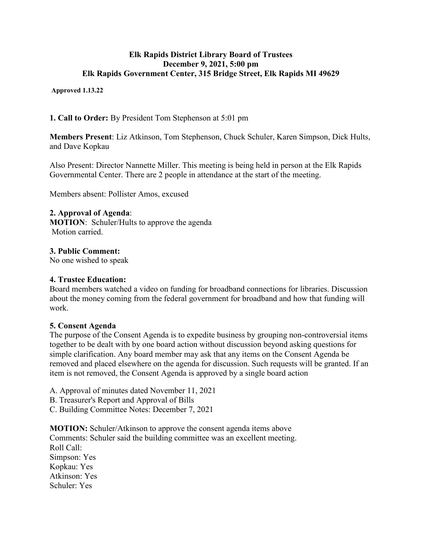### **Elk Rapids District Library Board of Trustees December 9, 2021, 5:00 pm Elk Rapids Government Center, 315 Bridge Street, Elk Rapids MI 49629**

**Approved 1.13.22**

**1. Call to Order:** By President Tom Stephenson at 5:01 pm

**Members Present**: Liz Atkinson, Tom Stephenson, Chuck Schuler, Karen Simpson, Dick Hults, and Dave Kopkau

Also Present: Director Nannette Miller. This meeting is being held in person at the Elk Rapids Governmental Center. There are 2 people in attendance at the start of the meeting.

Members absent: Pollister Amos, excused

# **2. Approval of Agenda**:

**MOTION**: Schuler/Hults to approve the agenda Motion carried.

## **3. Public Comment:**

No one wished to speak

### **4. Trustee Education:**

Board members watched a video on funding for broadband connections for libraries. Discussion about the money coming from the federal government for broadband and how that funding will work.

### **5. Consent Agenda**

The purpose of the Consent Agenda is to expedite business by grouping non-controversial items together to be dealt with by one board action without discussion beyond asking questions for simple clarification. Any board member may ask that any items on the Consent Agenda be removed and placed elsewhere on the agenda for discussion. Such requests will be granted. If an item is not removed, the Consent Agenda is approved by a single board action

A. Approval of minutes dated November 11, 2021

- B. Treasurer's Report and Approval of Bills
- C. Building Committee Notes: December 7, 2021

**MOTION:** Schuler/Atkinson to approve the consent agenda items above Comments: Schuler said the building committee was an excellent meeting. Roll Call: Simpson: Yes Kopkau: Yes Atkinson: Yes Schuler: Yes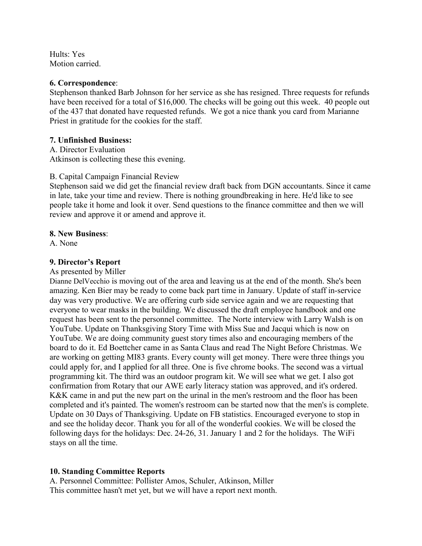Hults: Yes Motion carried.

#### **6. Correspondence**:

Stephenson thanked Barb Johnson for her service as she has resigned. Three requests for refunds have been received for a total of \$16,000. The checks will be going out this week. 40 people out of the 437 that donated have requested refunds. We got a nice thank you card from Marianne Priest in gratitude for the cookies for the staff.

### **7. Unfinished Business:**

A. Director Evaluation Atkinson is collecting these this evening.

#### B. Capital Campaign Financial Review

Stephenson said we did get the financial review draft back from DGN accountants. Since it came in late, take your time and review. There is nothing groundbreaking in here. He'd like to see people take it home and look it over. Send questions to the finance committee and then we will review and approve it or amend and approve it.

#### **8. New Business**:

A. None

### **9. Director's Report**

#### As presented by Miller

Dianne DelVecchio is moving out of the area and leaving us at the end of the month. She's been amazing. Ken Bier may be ready to come back part time in January. Update of staff in-service day was very productive. We are offering curb side service again and we are requesting that everyone to wear masks in the building. We discussed the draft employee handbook and one request has been sent to the personnel committee. The Norte interview with Larry Walsh is on YouTube. Update on Thanksgiving Story Time with Miss Sue and Jacqui which is now on YouTube. We are doing community guest story times also and encouraging members of the board to do it. Ed Boettcher came in as Santa Claus and read The Night Before Christmas. We are working on getting MI83 grants. Every county will get money. There were three things you could apply for, and I applied for all three. One is five chrome books. The second was a virtual programming kit. The third was an outdoor program kit. We will see what we get. I also got confirmation from Rotary that our AWE early literacy station was approved, and it's ordered. K&K came in and put the new part on the urinal in the men's restroom and the floor has been completed and it's painted. The women's restroom can be started now that the men's is complete. Update on 30 Days of Thanksgiving. Update on FB statistics. Encouraged everyone to stop in and see the holiday decor. Thank you for all of the wonderful cookies. We will be closed the following days for the holidays: Dec. 24-26, 31. January 1 and 2 for the holidays. The WiFi stays on all the time.

### **10. Standing Committee Reports**

A. Personnel Committee: Pollister Amos, Schuler, Atkinson, Miller This committee hasn't met yet, but we will have a report next month.